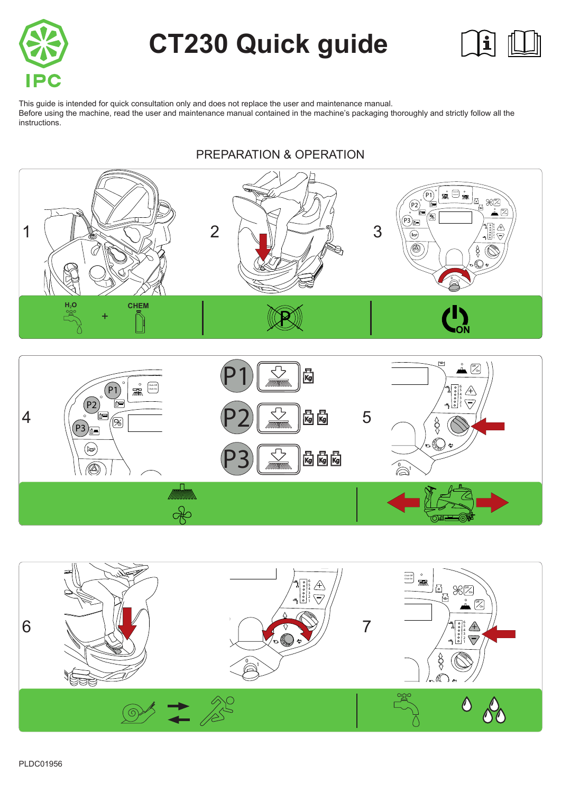

# **CT230 Quick guide**



This guide is intended for quick consultation only and does not replace the user and maintenance manual. Before using the machine, read the user and maintenance manual contained in the machine's packaging thoroughly and strictly follow all the instructions.

#### P2 On  $\mathbb{M}$ P1Off  $\overline{\mathsf{K}}$ On  $\frac{1}{\sqrt{2\pi}}$ Click-O Click-On P1 654321  $\sqrt{+}$  $\frac{1}{2}$  $\sqrt{2}$ P2 | 1 P2  $4$   $\frac{1}{2}$   $\frac{1}{2}$   $\frac{1}{2}$   $\frac{1}{2}$   $\frac{1}{2}$   $\frac{1}{2}$   $\frac{1}{2}$   $\frac{1}{2}$   $\frac{1}{2}$   $\frac{1}{2}$   $\frac{1}{2}$   $\frac{1}{2}$   $\frac{1}{2}$   $\frac{1}{2}$   $\frac{1}{2}$   $\frac{1}{2}$   $\frac{1}{2}$   $\frac{1}{2}$   $\frac{1}{2}$   $\frac{1}{2}$   $\frac{1}{2}$   $\frac{1}{2$  $\overline{\phantom{0}}$ 2 On  $\frac{1}{2}$ P3 [∄•  $\begin{matrix} \mathbb{C} \ \mathbb{R} \end{matrix}$ - P3 **R** R R  $\sum_{1}$  $\frac{1}{\sqrt{2}}$

## PREPARATION & OPERATION

PLDC01956